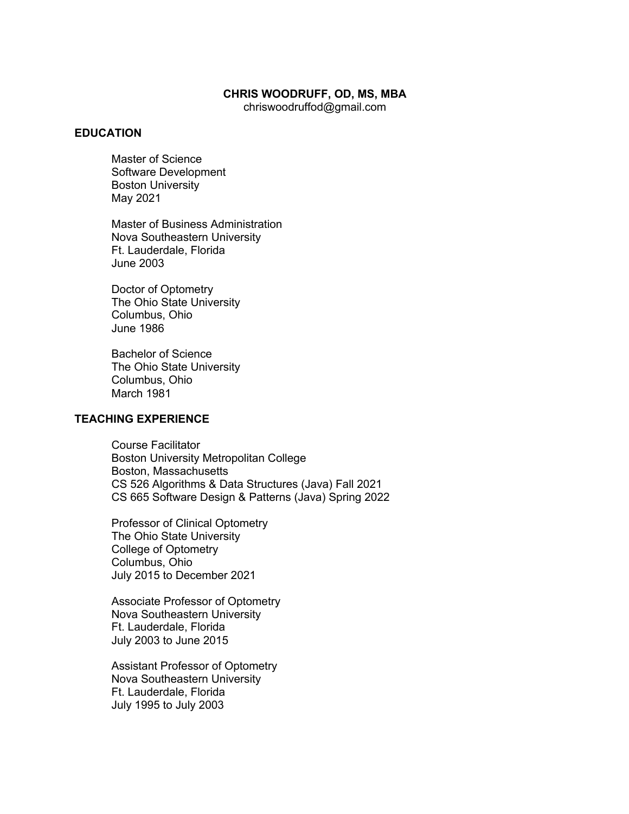#### **CHRIS WOODRUFF, OD, MS, MBA**

chriswoodruffod@gmail.com

### **EDUCATION**

Master of Science Software Development Boston University May 2021

Master of Business Administration Nova Southeastern University Ft. Lauderdale, Florida June 2003

Doctor of Optometry The Ohio State University Columbus, Ohio June 1986

Bachelor of Science The Ohio State University Columbus, Ohio March 1981

## **TEACHING EXPERIENCE**

Course Facilitator Boston University Metropolitan College Boston, Massachusetts CS 526 Algorithms & Data Structures (Java) Fall 2021 CS 665 Software Design & Patterns (Java) Spring 2022

Professor of Clinical Optometry The Ohio State University College of Optometry Columbus, Ohio July 2015 to December 2021

Associate Professor of Optometry Nova Southeastern University Ft. Lauderdale, Florida July 2003 to June 2015

Assistant Professor of Optometry Nova Southeastern University Ft. Lauderdale, Florida July 1995 to July 2003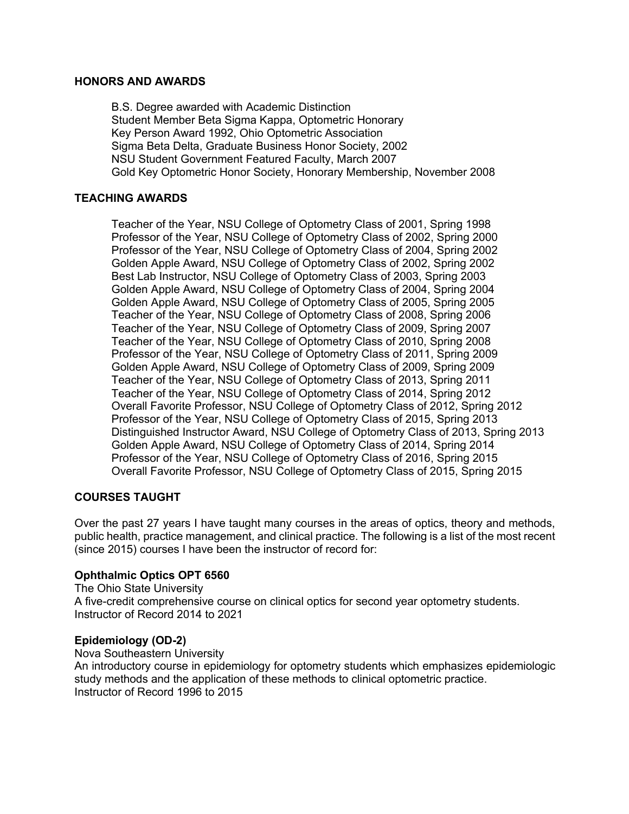### **HONORS AND AWARDS**

B.S. Degree awarded with Academic Distinction Student Member Beta Sigma Kappa, Optometric Honorary Key Person Award 1992, Ohio Optometric Association Sigma Beta Delta, Graduate Business Honor Society, 2002 NSU Student Government Featured Faculty, March 2007 Gold Key Optometric Honor Society, Honorary Membership, November 2008

# **TEACHING AWARDS**

Teacher of the Year, NSU College of Optometry Class of 2001, Spring 1998 Professor of the Year, NSU College of Optometry Class of 2002, Spring 2000 Professor of the Year, NSU College of Optometry Class of 2004, Spring 2002 Golden Apple Award, NSU College of Optometry Class of 2002, Spring 2002 Best Lab Instructor, NSU College of Optometry Class of 2003, Spring 2003 Golden Apple Award, NSU College of Optometry Class of 2004, Spring 2004 Golden Apple Award, NSU College of Optometry Class of 2005, Spring 2005 Teacher of the Year, NSU College of Optometry Class of 2008, Spring 2006 Teacher of the Year, NSU College of Optometry Class of 2009, Spring 2007 Teacher of the Year, NSU College of Optometry Class of 2010, Spring 2008 Professor of the Year, NSU College of Optometry Class of 2011, Spring 2009 Golden Apple Award, NSU College of Optometry Class of 2009, Spring 2009 Teacher of the Year, NSU College of Optometry Class of 2013, Spring 2011 Teacher of the Year, NSU College of Optometry Class of 2014, Spring 2012 Overall Favorite Professor, NSU College of Optometry Class of 2012, Spring 2012 Professor of the Year, NSU College of Optometry Class of 2015, Spring 2013 Distinguished Instructor Award, NSU College of Optometry Class of 2013, Spring 2013 Golden Apple Award, NSU College of Optometry Class of 2014, Spring 2014 Professor of the Year, NSU College of Optometry Class of 2016, Spring 2015 Overall Favorite Professor, NSU College of Optometry Class of 2015, Spring 2015

# **COURSES TAUGHT**

Over the past 27 years I have taught many courses in the areas of optics, theory and methods, public health, practice management, and clinical practice. The following is a list of the most recent (since 2015) courses I have been the instructor of record for:

# **Ophthalmic Optics OPT 6560**

The Ohio State University A five-credit comprehensive course on clinical optics for second year optometry students. Instructor of Record 2014 to 2021

# **Epidemiology (OD-2)**

Nova Southeastern University An introductory course in epidemiology for optometry students which emphasizes epidemiologic study methods and the application of these methods to clinical optometric practice. Instructor of Record 1996 to 2015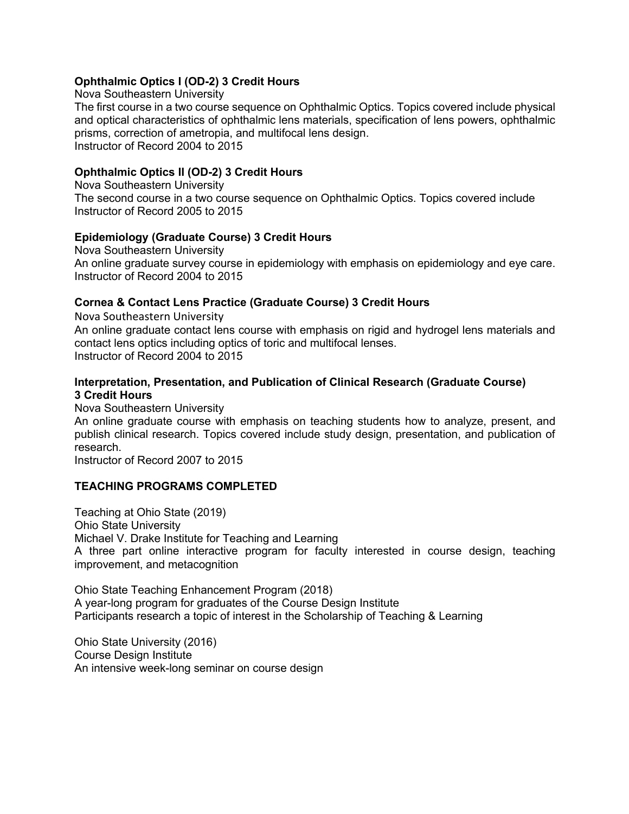# **Ophthalmic Optics I (OD-2) 3 Credit Hours**

Nova Southeastern University The first course in a two course sequence on Ophthalmic Optics. Topics covered include physical and optical characteristics of ophthalmic lens materials, specification of lens powers, ophthalmic prisms, correction of ametropia, and multifocal lens design. Instructor of Record 2004 to 2015

# **Ophthalmic Optics II (OD-2) 3 Credit Hours**

Nova Southeastern University The second course in a two course sequence on Ophthalmic Optics. Topics covered include Instructor of Record 2005 to 2015

## **Epidemiology (Graduate Course) 3 Credit Hours**

Nova Southeastern University An online graduate survey course in epidemiology with emphasis on epidemiology and eye care. Instructor of Record 2004 to 2015

## **Cornea & Contact Lens Practice (Graduate Course) 3 Credit Hours**

Nova Southeastern University An online graduate contact lens course with emphasis on rigid and hydrogel lens materials and contact lens optics including optics of toric and multifocal lenses. Instructor of Record 2004 to 2015

## **Interpretation, Presentation, and Publication of Clinical Research (Graduate Course) 3 Credit Hours**

Nova Southeastern University An online graduate course with emphasis on teaching students how to analyze, present, and publish clinical research. Topics covered include study design, presentation, and publication of research.

Instructor of Record 2007 to 2015

# **TEACHING PROGRAMS COMPLETED**

Teaching at Ohio State (2019) Ohio State University Michael V. Drake Institute for Teaching and Learning A three part online interactive program for faculty interested in course design, teaching improvement, and metacognition

Ohio State Teaching Enhancement Program (2018) A year-long program for graduates of the Course Design Institute Participants research a topic of interest in the Scholarship of Teaching & Learning

Ohio State University (2016) Course Design Institute An intensive week-long seminar on course design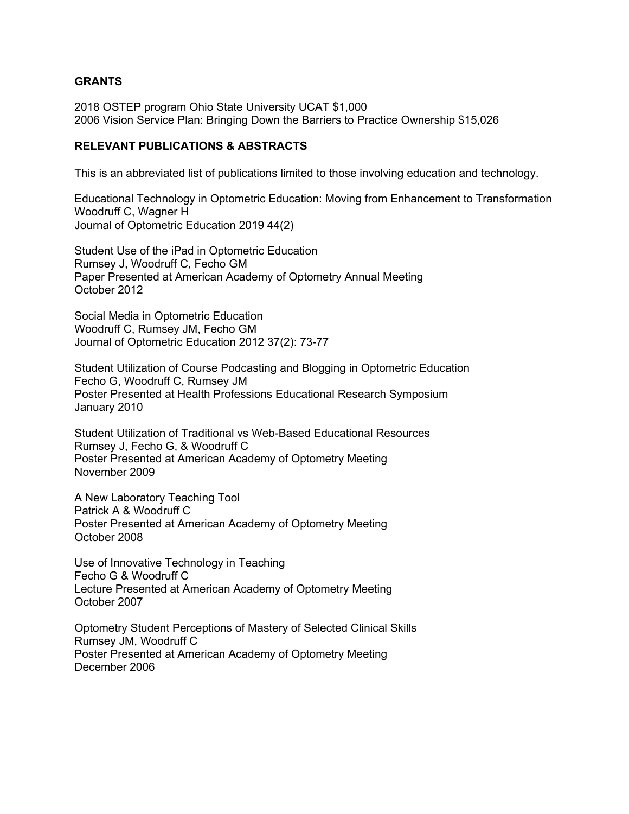## **GRANTS**

2018 OSTEP program Ohio State University UCAT \$1,000 2006 Vision Service Plan: Bringing Down the Barriers to Practice Ownership \$15,026

## **RELEVANT PUBLICATIONS & ABSTRACTS**

This is an abbreviated list of publications limited to those involving education and technology.

Educational Technology in Optometric Education: Moving from Enhancement to Transformation Woodruff C, Wagner H Journal of Optometric Education 2019 44(2)

Student Use of the iPad in Optometric Education Rumsey J, Woodruff C, Fecho GM Paper Presented at American Academy of Optometry Annual Meeting October 2012

Social Media in Optometric Education Woodruff C, Rumsey JM, Fecho GM Journal of Optometric Education 2012 37(2): 73-77

Student Utilization of Course Podcasting and Blogging in Optometric Education Fecho G, Woodruff C, Rumsey JM Poster Presented at Health Professions Educational Research Symposium January 2010

Student Utilization of Traditional vs Web-Based Educational Resources Rumsey J, Fecho G, & Woodruff C Poster Presented at American Academy of Optometry Meeting November 2009

A New Laboratory Teaching Tool Patrick A & Woodruff C Poster Presented at American Academy of Optometry Meeting October 2008

Use of Innovative Technology in Teaching Fecho G & Woodruff C Lecture Presented at American Academy of Optometry Meeting October 2007

Optometry Student Perceptions of Mastery of Selected Clinical Skills Rumsey JM, Woodruff C Poster Presented at American Academy of Optometry Meeting December 2006